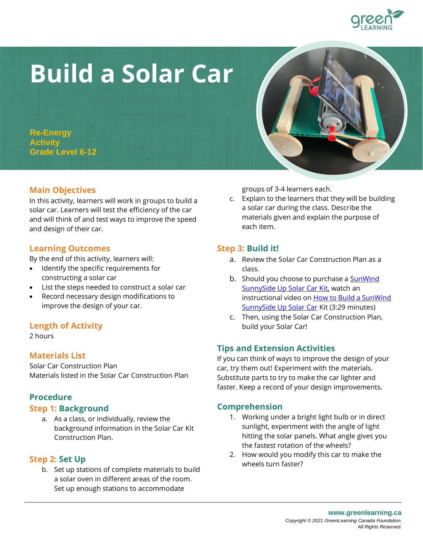# **Build a Solar Car**

**Re-Energy Activity Grade Level 6-12**

## **Main Objectives**

In this activity, learners will work in groups to build a solar car. Learners will test the efficiency of the car and will think of and test ways to improve the speed and design of their car.

## **Learning Outcomes**

By the end of this activity, learners will:

- Identify the specific requirements for constructing a solar car
- List the steps needed to construct a solar car
- Record necessary design modifications to improve the design of your car.

# **Length of Activity**

2 hours

## **Materials List**

Solar Car Construction Plan Materials listed in the Solar Car Construction Plan

## **Procedure**

#### **Step 1: Background**

a. As a class, or individually, review the background information in the Solar Car Kit Construction Plan.

## **Step 2: Set Up**

b. Set up stations of complete materials to build a solar oven in different areas of the room. Set up enough stations to accommodate

groups of 3-4 learners each.

c. Explain to the learners that they will be building a solar car during the class. Describe the materials given and explain the purpose of each item.

#### **Step 3: Build it!**

- a. Review the Solar Car Construction Plan as a class.
- b. Should you choose to purchase a SunWind [SunnySide Up Solar Car Kit,](https://wearesolardriven.3dcartstores.com/SunnySide-Up-_p_35.html) watch an instructional video on How to Build a SunWind [SunnySide Up Solar Car](https://www.youtube.com/watch?v=dCHCy0XruPo) Kit (3:29 minutes)
- c. Then, using the Solar Car Construction Plan, build your Solar Car!

# **Tips and Extension Activities**

If you can think of ways to improve the design of your car, try them out! Experiment with the materials. Substitute parts to try to make the car lighter and faster. Keep a record of your design improvements.

## **Comprehension**

- 1. Working under a bright light bulb or in direct sunlight, experiment with the angle of light hitting the solar panels. What angle gives you the fastest rotation of the wheels?
- 2. How would you modify this car to make the wheels turn faster?